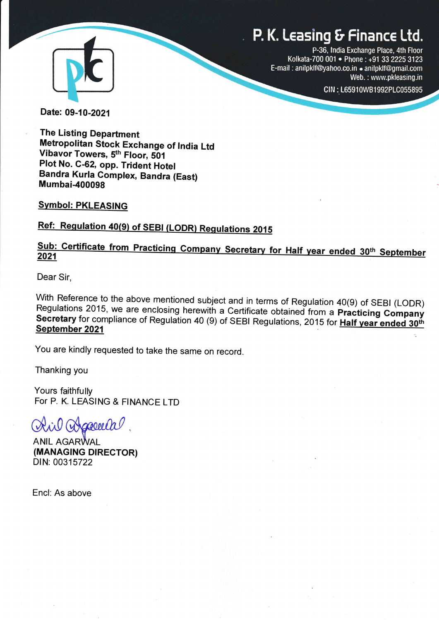## P. K. Leasing & Finance Ltd.



P-36, lndia Exchange Place, 4th Floor Kolkata-700 001 · Phone: +91 33 2225 3123 E-mail : anilpklf@yahoo.co.in . anilpklf@gmail.com Web. : www.pkleasing.in

CIN: L65910WB1992PLC055895

Date: 09-10-2021

The Listing Department Metropolitan Stock Exchange of India Ltd<br>Vibavor Towers, 5<sup>th</sup> Floor, 501 Plot No. C-62, opp. Trident Hotel Bandra Kurla complex, Bandra (East) Mumbai-400098

**Symbol: PKLEASING** 

### Ref: Regulation 40(9) of SEBI (LODR) Regulations 2015

# Sub: Certificate from Practicing Company Secretary for Half year ended 30th September<br>2021

Dear Sir,

With Reference to the above mentioned subject and in terms of Regulation 40(9) of SEBI (LODR)<br>Regulations 2015, we are enclosing herewith a Certificate obtained from a **Practicing Company**<br>**Secretary** for compliance of Reg :<br>:

You are kindly requested to take the same on record.

Thanking you

Yours faithfully For P. K. LEASING & FINANCE LTD

d^)S sopeela

**ANIL AGARWAL** (MANAGING DIRECTOR) DIN: 003 15722

Encl: As above